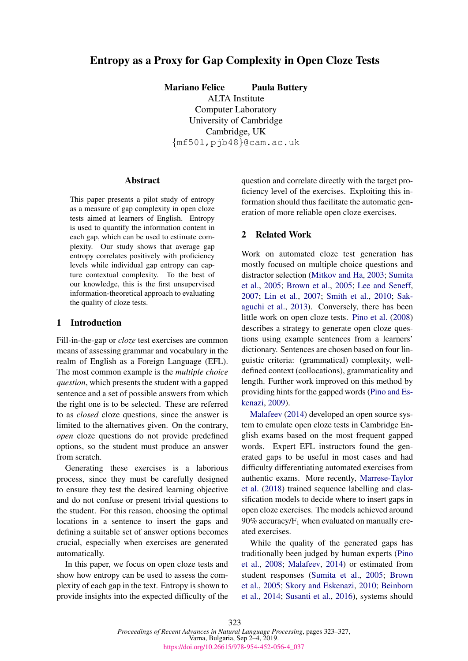# Entropy as a Proxy for Gap Complexity in Open Cloze Tests

Mariano Felice Paula Buttery

ALTA Institute Computer Laboratory University of Cambridge Cambridge, UK {mf501,pjb48}@cam.ac.uk

#### **Abstract**

This paper presents a pilot study of entropy as a measure of gap complexity in open cloze tests aimed at learners of English. Entropy is used to quantify the information content in each gap, which can be used to estimate complexity. Our study shows that average gap entropy correlates positively with proficiency levels while individual gap entropy can capture contextual complexity. To the best of our knowledge, this is the first unsupervised information-theoretical approach to evaluating the quality of cloze tests.

### 1 Introduction

Fill-in-the-gap or *cloze* test exercises are common means of assessing grammar and vocabulary in the realm of English as a Foreign Language (EFL). The most common example is the *multiple choice question*, which presents the student with a gapped sentence and a set of possible answers from which the right one is to be selected. These are referred to as *closed* cloze questions, since the answer is limited to the alternatives given. On the contrary, *open* cloze questions do not provide predefined options, so the student must produce an answer from scratch.

Generating these exercises is a laborious process, since they must be carefully designed to ensure they test the desired learning objective and do not confuse or present trivial questions to the student. For this reason, choosing the optimal locations in a sentence to insert the gaps and defining a suitable set of answer options becomes crucial, especially when exercises are generated automatically.

In this paper, we focus on open cloze tests and show how entropy can be used to assess the complexity of each gap in the text. Entropy is shown to provide insights into the expected difficulty of the

question and correlate directly with the target proficiency level of the exercises. Exploiting this information should thus facilitate the automatic generation of more reliable open cloze exercises.

#### 2 Related Work

Work on automated cloze test generation has mostly focused on multiple choice questions and distractor selection [\(Mitkov and Ha,](#page-4-0) [2003;](#page-4-0) [Sumita](#page-4-1) [et al.,](#page-4-1) [2005;](#page-4-1) [Brown et al.,](#page-3-0) [2005;](#page-3-0) [Lee and Seneff,](#page-4-2) [2007;](#page-4-2) [Lin et al.,](#page-4-3) [2007;](#page-4-3) [Smith et al.,](#page-4-4) [2010;](#page-4-4) [Sak](#page-4-5)[aguchi et al.,](#page-4-5) [2013\)](#page-4-5). Conversely, there has been little work on open cloze tests. [Pino et al.](#page-4-6) [\(2008\)](#page-4-6) describes a strategy to generate open cloze questions using example sentences from a learners' dictionary. Sentences are chosen based on four linguistic criteria: (grammatical) complexity, welldefined context (collocations), grammaticality and length. Further work improved on this method by providing hints for the gapped words [\(Pino and Es](#page-4-7)[kenazi,](#page-4-7) [2009\)](#page-4-7).

[Malafeev](#page-4-8) [\(2014\)](#page-4-8) developed an open source system to emulate open cloze tests in Cambridge English exams based on the most frequent gapped words. Expert EFL instructors found the generated gaps to be useful in most cases and had difficulty differentiating automated exercises from authentic exams. More recently, [Marrese-Taylor](#page-4-9) [et al.](#page-4-9) [\(2018\)](#page-4-9) trained sequence labelling and classification models to decide where to insert gaps in open cloze exercises. The models achieved around  $90\%$  accuracy/ $F_1$  when evaluated on manually created exercises.

While the quality of the generated gaps has traditionally been judged by human experts [\(Pino](#page-4-6) [et al.,](#page-4-6) [2008;](#page-4-6) [Malafeev,](#page-4-8) [2014\)](#page-4-8) or estimated from student responses [\(Sumita et al.,](#page-4-1) [2005;](#page-4-1) [Brown](#page-3-0) [et al.,](#page-3-0) [2005;](#page-3-0) [Skory and Eskenazi,](#page-4-10) [2010;](#page-4-10) [Beinborn](#page-3-1) [et al.,](#page-3-1) [2014;](#page-3-1) [Susanti et al.,](#page-4-11) [2016\)](#page-4-11), systems should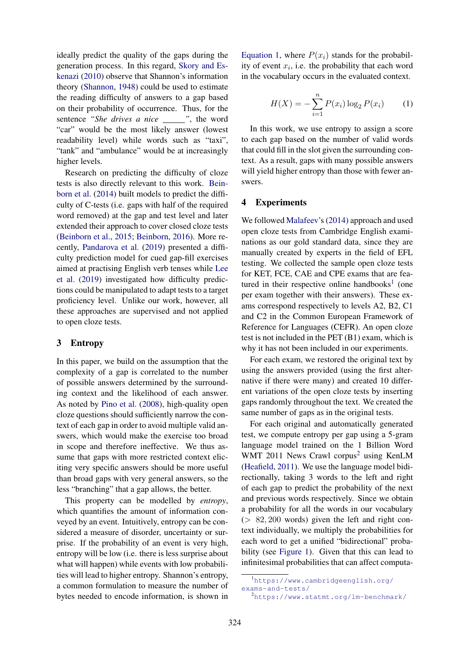ideally predict the quality of the gaps during the generation process. In this regard, [Skory and Es](#page-4-10)[kenazi](#page-4-10) [\(2010\)](#page-4-10) observe that Shannon's information theory [\(Shannon,](#page-4-12) [1948\)](#page-4-12) could be used to estimate the reading difficulty of answers to a gap based on their probability of occurrence. Thus, for the sentence "She drives a nice \_\_\_\_\_", the word "car" would be the most likely answer (lowest readability level) while words such as "taxi", "tank" and "ambulance" would be at increasingly higher levels.

Research on predicting the difficulty of cloze tests is also directly relevant to this work. [Bein](#page-3-1)[born et al.](#page-3-1) [\(2014\)](#page-3-1) built models to predict the difficulty of C-tests (i.e. gaps with half of the required word removed) at the gap and test level and later extended their approach to cover closed cloze tests [\(Beinborn et al.,](#page-3-2) [2015;](#page-3-2) [Beinborn,](#page-3-3) [2016\)](#page-3-3). More recently, [Pandarova et al.](#page-4-13) [\(2019\)](#page-4-13) presented a difficulty prediction model for cued gap-fill exercises aimed at practising English verb tenses while [Lee](#page-4-14) [et al.](#page-4-14) [\(2019\)](#page-4-14) investigated how difficulty predictions could be manipulated to adapt tests to a target proficiency level. Unlike our work, however, all these approaches are supervised and not applied to open cloze tests.

## 3 Entropy

In this paper, we build on the assumption that the complexity of a gap is correlated to the number of possible answers determined by the surrounding context and the likelihood of each answer. As noted by [Pino et al.](#page-4-6) [\(2008\)](#page-4-6), high-quality open cloze questions should sufficiently narrow the context of each gap in order to avoid multiple valid answers, which would make the exercise too broad in scope and therefore ineffective. We thus assume that gaps with more restricted context eliciting very specific answers should be more useful than broad gaps with very general answers, so the less "branching" that a gap allows, the better.

This property can be modelled by *entropy*, which quantifies the amount of information conveyed by an event. Intuitively, entropy can be considered a measure of disorder, uncertainty or surprise. If the probability of an event is very high, entropy will be low (i.e. there is less surprise about what will happen) while events with low probabilities will lead to higher entropy. Shannon's entropy, a common formulation to measure the number of bytes needed to encode information, is shown in [Equation 1,](#page-1-0) where  $P(x_i)$  stands for the probability of event  $x_i$ , i.e. the probability that each word in the vocabulary occurs in the evaluated context.

<span id="page-1-0"></span>
$$
H(X) = -\sum_{i=1}^{n} P(x_i) \log_2 P(x_i)
$$
 (1)

In this work, we use entropy to assign a score to each gap based on the number of valid words that could fill in the slot given the surrounding context. As a result, gaps with many possible answers will yield higher entropy than those with fewer answers.

#### 4 Experiments

We followed [Malafeev'](#page-4-8)s [\(2014\)](#page-4-8) approach and used open cloze tests from Cambridge English examinations as our gold standard data, since they are manually created by experts in the field of EFL testing. We collected the sample open cloze tests for KET, FCE, CAE and CPE exams that are fea-tured in their respective online handbooks<sup>[1](#page-1-1)</sup> (one per exam together with their answers). These exams correspond respectively to levels A2, B2, C1 and C2 in the Common European Framework of Reference for Languages (CEFR). An open cloze test is not included in the PET (B1) exam, which is why it has not been included in our experiments.

For each exam, we restored the original text by using the answers provided (using the first alternative if there were many) and created 10 different variations of the open cloze tests by inserting gaps randomly throughout the text. We created the same number of gaps as in the original tests.

For each original and automatically generated test, we compute entropy per gap using a 5-gram language model trained on the 1 Billion Word WMT [2](#page-1-2)011 News Crawl corpus<sup>2</sup> using KenLM [\(Heafield,](#page-4-15) [2011\)](#page-4-15). We use the language model bidirectionally, taking 3 words to the left and right of each gap to predict the probability of the next and previous words respectively. Since we obtain a probability for all the words in our vocabulary  $(> 82, 200$  words) given the left and right context individually, we multiply the probabilities for each word to get a unified "bidirectional" probability (see [Figure 1\)](#page-2-0). Given that this can lead to infinitesimal probabilities that can affect computa-

<span id="page-1-1"></span><sup>1</sup>[https://www.cambridgeenglish.org/](https://www.cambridgeenglish.org/exams-and-tests/) [exams-and-tests/](https://www.cambridgeenglish.org/exams-and-tests/)

<span id="page-1-2"></span><sup>2</sup><https://www.statmt.org/lm-benchmark/>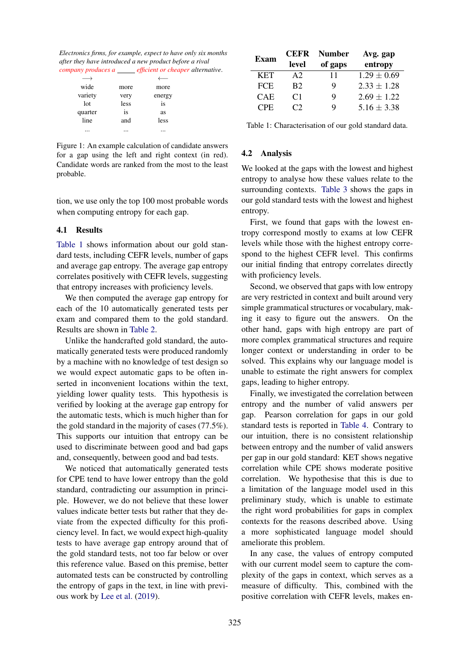<span id="page-2-0"></span>*Electronics firms, for example, expect to have only six months after they have introduced a new product before a rival company produces a efficient or cheaper alternative*.

| wide    | more | more   |  |
|---------|------|--------|--|
| variety | very | energy |  |
| lot     | less | is     |  |
| quarter | is   | as     |  |
| line    | and  | less   |  |
|         |      |        |  |
|         |      |        |  |

Figure 1: An example calculation of candidate answers for a gap using the left and right context (in red). Candidate words are ranked from the most to the least probable.

tion, we use only the top 100 most probable words when computing entropy for each gap.

#### 4.1 Results

[Table 1](#page-2-1) shows information about our gold standard tests, including CEFR levels, number of gaps and average gap entropy. The average gap entropy correlates positively with CEFR levels, suggesting that entropy increases with proficiency levels.

We then computed the average gap entropy for each of the 10 automatically generated tests per exam and compared them to the gold standard. Results are shown in [Table 2.](#page-3-4)

Unlike the handcrafted gold standard, the automatically generated tests were produced randomly by a machine with no knowledge of test design so we would expect automatic gaps to be often inserted in inconvenient locations within the text, yielding lower quality tests. This hypothesis is verified by looking at the average gap entropy for the automatic tests, which is much higher than for the gold standard in the majority of cases (77.5%). This supports our intuition that entropy can be used to discriminate between good and bad gaps and, consequently, between good and bad tests.

We noticed that automatically generated tests for CPE tend to have lower entropy than the gold standard, contradicting our assumption in principle. However, we do not believe that these lower values indicate better tests but rather that they deviate from the expected difficulty for this proficiency level. In fact, we would expect high-quality tests to have average gap entropy around that of the gold standard tests, not too far below or over this reference value. Based on this premise, better automated tests can be constructed by controlling the entropy of gaps in the text, in line with previous work by [Lee et al.](#page-4-14) [\(2019\)](#page-4-14).

<span id="page-2-1"></span>

| <b>Exam</b> | <b>CEFR</b>    | <b>Number</b> | Avg. gap        |  |  |
|-------------|----------------|---------------|-----------------|--|--|
|             | level          | of gaps       | entropy         |  |  |
| <b>KET</b>  | A2             | 11            | $1.29 \pm 0.69$ |  |  |
| <b>FCE</b>  | B <sub>2</sub> | Q             | $2.33 \pm 1.28$ |  |  |
| <b>CAE</b>  | C <sub>1</sub> | Q             | $2.69 \pm 1.22$ |  |  |
| CPE.        | $\gamma$       | Q             | $5.16 \pm 3.38$ |  |  |

Table 1: Characterisation of our gold standard data.

#### 4.2 Analysis

We looked at the gaps with the lowest and highest entropy to analyse how these values relate to the surrounding contexts. [Table 3](#page-3-5) shows the gaps in our gold standard tests with the lowest and highest entropy.

First, we found that gaps with the lowest entropy correspond mostly to exams at low CEFR levels while those with the highest entropy correspond to the highest CEFR level. This confirms our initial finding that entropy correlates directly with proficiency levels.

Second, we observed that gaps with low entropy are very restricted in context and built around very simple grammatical structures or vocabulary, making it easy to figure out the answers. On the other hand, gaps with high entropy are part of more complex grammatical structures and require longer context or understanding in order to be solved. This explains why our language model is unable to estimate the right answers for complex gaps, leading to higher entropy.

Finally, we investigated the correlation between entropy and the number of valid answers per gap. Pearson correlation for gaps in our gold standard tests is reported in [Table 4.](#page-3-6) Contrary to our intuition, there is no consistent relationship between entropy and the number of valid answers per gap in our gold standard: KET shows negative correlation while CPE shows moderate positive correlation. We hypothesise that this is due to a limitation of the language model used in this preliminary study, which is unable to estimate the right word probabilities for gaps in complex contexts for the reasons described above. Using a more sophisticated language model should ameliorate this problem.

In any case, the values of entropy computed with our current model seem to capture the complexity of the gaps in context, which serves as a measure of difficulty. This, combined with the positive correlation with CEFR levels, makes en-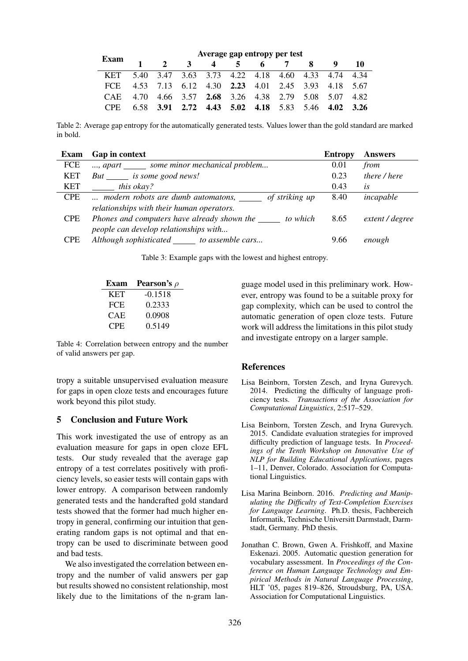<span id="page-3-4"></span>

|                 | Average gap entropy per test |  |              |                                                   |  |  |     |  |     |
|-----------------|------------------------------|--|--------------|---------------------------------------------------|--|--|-----|--|-----|
| <b>Exam</b>     |                              |  | $\mathbf{R}$ | 4                                                 |  |  | 6 7 |  | -10 |
| <b>KET</b>      |                              |  |              | 5.40 3.47 3.63 3.73 4.22 4.18 4.60 4.33 4.74 4.34 |  |  |     |  |     |
| FCE.            |                              |  |              | 4.53 7.13 6.12 4.30 2.23 4.01 2.45 3.93 4.18 5.67 |  |  |     |  |     |
| <b>CAE</b>      |                              |  |              | 4.70 4.66 3.57 2.68 3.26 4.38 2.79 5.08 5.07 4.82 |  |  |     |  |     |
| C <sub>PF</sub> |                              |  |              | 6.58 3.91 2.72 4.43 5.02 4.18 5.83 5.46 4.02 3.26 |  |  |     |  |     |

Table 2: Average gap entropy for the automatically generated tests. Values lower than the gold standard are marked in bold.

<span id="page-3-5"></span>

| Exam       | Gap in context                                          | <b>Entropy</b> | <b>Answers</b>  |
|------------|---------------------------------------------------------|----------------|-----------------|
| FCE        | , apart ________ some minor mechanical problem          | 0.01           | from            |
| <b>KET</b> | But is some good news!                                  | 0.23           | there / here    |
| <b>KET</b> | this okay?                                              | 0.43           | lS              |
| <b>CPE</b> | of striking up<br>modern robots are dumb automatons,    | 8.40           | incapable       |
|            | relationships with their human operators.               |                |                 |
| <b>CPE</b> | Phones and computers have already shown the<br>to which | 8.65           | extent / degree |
|            | people can develop relationships with                   |                |                 |
| <b>CPE</b> | Although sophisticated to assemble cars                 | 9.66           | enough          |
|            |                                                         |                |                 |

Table 3: Example gaps with the lowest and highest entropy.

<span id="page-3-6"></span>

| Exam       | <b>Pearson's</b> $\rho$ |
|------------|-------------------------|
| <b>KET</b> | $-0.1518$               |
| FCE        | 0.2333                  |
| CAE        | 0.0908                  |
| CPE        | 0.5149                  |

Table 4: Correlation between entropy and the number of valid answers per gap.

tropy a suitable unsupervised evaluation measure for gaps in open cloze tests and encourages future work beyond this pilot study.

## 5 Conclusion and Future Work

This work investigated the use of entropy as an evaluation measure for gaps in open cloze EFL tests. Our study revealed that the average gap entropy of a test correlates positively with proficiency levels, so easier tests will contain gaps with lower entropy. A comparison between randomly generated tests and the handcrafted gold standard tests showed that the former had much higher entropy in general, confirming our intuition that generating random gaps is not optimal and that entropy can be used to discriminate between good and bad tests.

We also investigated the correlation between entropy and the number of valid answers per gap but results showed no consistent relationship, most likely due to the limitations of the n-gram language model used in this preliminary work. However, entropy was found to be a suitable proxy for gap complexity, which can be used to control the automatic generation of open cloze tests. Future work will address the limitations in this pilot study and investigate entropy on a larger sample.

## **References**

- <span id="page-3-1"></span>Lisa Beinborn, Torsten Zesch, and Iryna Gurevych. 2014. Predicting the difficulty of language proficiency tests. *Transactions of the Association for Computational Linguistics*, 2:517–529.
- <span id="page-3-2"></span>Lisa Beinborn, Torsten Zesch, and Iryna Gurevych. 2015. Candidate evaluation strategies for improved difficulty prediction of language tests. In *Proceedings of the Tenth Workshop on Innovative Use of NLP for Building Educational Applications*, pages 1–11, Denver, Colorado. Association for Computational Linguistics.
- <span id="page-3-3"></span>Lisa Marina Beinborn. 2016. *Predicting and Manipulating the Difficulty of Text-Completion Exercises for Language Learning*. Ph.D. thesis, Fachbereich Informatik, Technische Universitt Darmstadt, Darmstadt, Germany. PhD thesis.
- <span id="page-3-0"></span>Jonathan C. Brown, Gwen A. Frishkoff, and Maxine Eskenazi. 2005. Automatic question generation for vocabulary assessment. In *Proceedings of the Conference on Human Language Technology and Empirical Methods in Natural Language Processing*, HLT '05, pages 819–826, Stroudsburg, PA, USA. Association for Computational Linguistics.